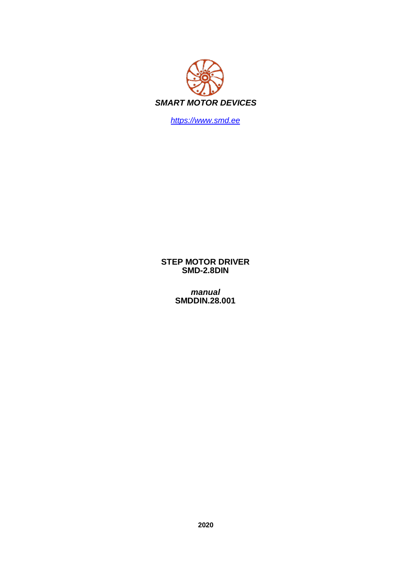

https://www.smd.ee

**STEP MOTOR DRIVER SMD-2.8DIN** 

manual<br>SMDDIN.28.001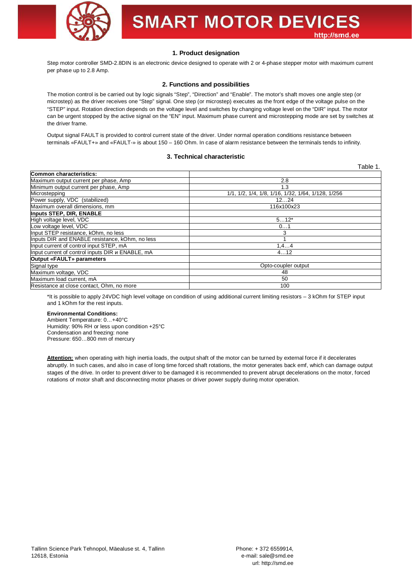

# **SMART MOTOR DEVICES** http://smd.ee

Table 1.

## **1. Product designation**

Step motor controller SMD-2.8DIN is an electronic device designed to operate with 2 or 4-phase stepper motor with maximum current per phase up to 2.8 Amp.

#### **2. Functions and possibilities**

The motion control is be carried out by logic signals "Step", "Direction" and "Enable". The motor's shaft moves one angle step (or microstep) as the driver receives one "Step" signal. One step (or microstep) executes as the front edge of the voltage pulse on the "STEP" input. Rotation direction depends on the voltage level and switches by changing voltage level on the "DIR" input. The motor can be urgent stopped by the active signal on the "EN" input. Maximum phase current and microstepping mode are set by switches at the driver frame.

Output signal FAULT is provided to control current state of the driver. Under normal operation conditions resistance between terminals «FAULT+» and «FAULT-» is about 150 – 160 Ohm. In case of alarm resistance between the terminals tends to infinity.

#### **3. Technical characteristic**

|                                                  | .                                                  |
|--------------------------------------------------|----------------------------------------------------|
| <b>Common characteristics:</b>                   |                                                    |
| Maximum output current per phase, Amp            | 2.8                                                |
| Minimum output current per phase, Amp            | 1.3                                                |
| Microstepping                                    | 1/1, 1/2, 1/4, 1/8, 1/16, 1/32, 1/64, 1/128, 1/256 |
| Power supply, VDC (stabilized)                   | 1224                                               |
| Maximum overall dimensions, mm                   | 116x100x23                                         |
| Inputs STEP, DIR, ENABLE                         |                                                    |
| High voltage level, VDC                          | $512*$                                             |
| Low voltage level, VDC                           | 01                                                 |
| Input STEP resistance, kOhm, no less             | 3                                                  |
| Inputs DIR and ENABLE resistance, kOhm, no less  |                                                    |
| Input current of control input STEP, mA          | 1, 44                                              |
| Input current of control inputs DIR и ENABLE, mA | 412                                                |
| Output «FAULT» parameters                        |                                                    |
| Signal type                                      | Opto-coupler output                                |
| Maximum voltage, VDC                             | 48                                                 |
| Maximum load current, mA                         | 50                                                 |
| Resistance at close contact, Ohm, no more        | 100                                                |

\*It is possible to apply 24VDC high level voltage on condition of using additional current limiting resistors – 3 kOhm for STEP input and 1 kOhm for the rest inputs.

## **Environmental Conditions:**

Ambient Temperature: 0…+40°C Humidity: 90% RH or less upon condition +25°C Condensation and freezing: none Pressure: 650…800 mm of mercury

Attention: when operating with high inertia loads, the output shaft of the motor can be turned by external force if it decelerates abruptly. In such cases, and also in case of long time forced shaft rotations, the motor generates back emf, which can damage output stages of the drive. In order to prevent driver to be damaged it is recommended to prevent abrupt decelerations on the motor, forced rotations of motor shaft and disconnecting motor phases or driver power supply during motor operation.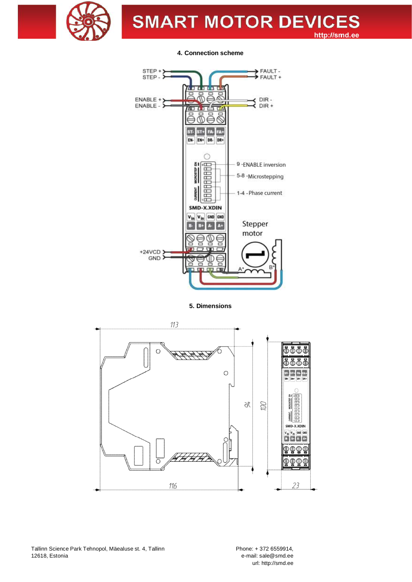

**SMART MOTOR DEVICES** http://smd.ee

**4. Connection scheme**



**5. Dimensions**